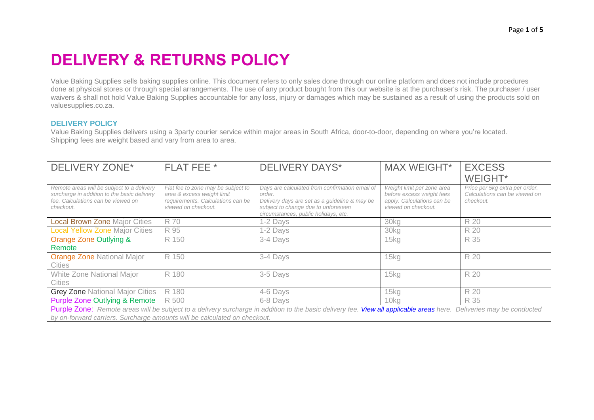# **DELIVERY & RETURNS POLICY**

Value Baking Supplies sells baking supplies online. This document refers to only sales done through our online platform and does not include procedures done at physical stores or through special arrangements. The use of any product bought from this our website is at the purchaser's risk. The purchaser / user waivers & shall not hold Value Baking Supplies accountable for any loss, injury or damages which may be sustained as a result of using the products sold on valuesupplies.co.za.

# **DELIVERY POLICY**

Value Baking Supplies delivers using a 3party courier service within major areas in South Africa, door-to-door, depending on where you're located. Shipping fees are weight based and vary from area to area.

| <b>DELIVERY ZONE*</b>                                                                                                                                                                                                                             | FLAT FEE *                                                                                                                   | <b>DELIVERY DAYS*</b>                                                                                                                                                                    | <b>MAX WEIGHT*</b>                                                                                           | <b>EXCESS</b>                                                                |  |  |  |
|---------------------------------------------------------------------------------------------------------------------------------------------------------------------------------------------------------------------------------------------------|------------------------------------------------------------------------------------------------------------------------------|------------------------------------------------------------------------------------------------------------------------------------------------------------------------------------------|--------------------------------------------------------------------------------------------------------------|------------------------------------------------------------------------------|--|--|--|
|                                                                                                                                                                                                                                                   |                                                                                                                              |                                                                                                                                                                                          |                                                                                                              | <b>WEIGHT*</b>                                                               |  |  |  |
| Remote areas will be subject to a delivery<br>surcharge in addition to the basic delivery<br>fee. Calculations can be viewed on<br>checkout.                                                                                                      | Flat fee to zone may be subject to<br>area & excess weight limit<br>requirements. Calculations can be<br>viewed on checkout. | Days are calculated from confirmation email of<br>order.<br>Delivery days are set as a guideline & may be<br>subject to change due to unforeseen<br>circumstances, public holidays, etc. | Weight limit per zone area<br>before excess weight fees<br>apply. Calculations can be<br>viewed on checkout. | Price per 5kg extra per order.<br>Calculations can be viewed on<br>checkout. |  |  |  |
| <b>Local Brown Zone Major Cities</b>                                                                                                                                                                                                              | R 70                                                                                                                         | 1-2 Days                                                                                                                                                                                 | 30kg                                                                                                         | R 20                                                                         |  |  |  |
| <b>Local Yellow Zone Major Cities</b>                                                                                                                                                                                                             | R 95                                                                                                                         | 1-2 Days                                                                                                                                                                                 | 30kg                                                                                                         | R 20                                                                         |  |  |  |
| <b>Orange Zone Outlying &amp;</b><br>Remote                                                                                                                                                                                                       | R 150                                                                                                                        | 3-4 Days                                                                                                                                                                                 | 15kg                                                                                                         | R 35                                                                         |  |  |  |
| <b>Orange Zone National Major</b><br><b>Cities</b>                                                                                                                                                                                                | R 150                                                                                                                        | 3-4 Days                                                                                                                                                                                 | 15kg                                                                                                         | R 20                                                                         |  |  |  |
| White Zone National Major<br><b>Cities</b>                                                                                                                                                                                                        | R 180                                                                                                                        | 3-5 Days                                                                                                                                                                                 | 15 <sub>kq</sub>                                                                                             | R 20                                                                         |  |  |  |
| <b>Grey Zone National Major Cities</b>                                                                                                                                                                                                            | R 180                                                                                                                        | 4-6 Days                                                                                                                                                                                 | 15kg                                                                                                         | R 20                                                                         |  |  |  |
| <b>Purple Zone Outlying &amp; Remote</b>                                                                                                                                                                                                          | R 500                                                                                                                        | 6-8 Days                                                                                                                                                                                 | 10kg                                                                                                         | R 35                                                                         |  |  |  |
| Purple Zone: Remote areas will be subject to a delivery surcharge in addition to the basic delivery fee. View all applicable areas here. Deliveries may be conducted<br>by on-forward carriers. Surcharge amounts will be calculated on checkout. |                                                                                                                              |                                                                                                                                                                                          |                                                                                                              |                                                                              |  |  |  |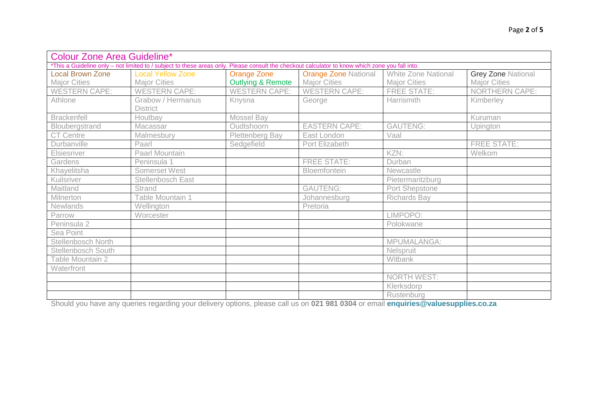| <b>Colour Zone Area Guideline*</b>                                                                                                              |                          |                              |                             |                            |                           |  |  |  |
|-------------------------------------------------------------------------------------------------------------------------------------------------|--------------------------|------------------------------|-----------------------------|----------------------------|---------------------------|--|--|--|
| *This a Guideline only - not limited to / subject to these areas only. Please consult the checkout calculator to know which zone you fall into. |                          |                              |                             |                            |                           |  |  |  |
| <b>Local Brown Zone</b>                                                                                                                         | <b>Local Yellow Zone</b> | Orange Zone                  | <b>Orange Zone National</b> | <b>White Zone National</b> | <b>Grey Zone National</b> |  |  |  |
| <b>Major Cities</b>                                                                                                                             | <b>Major Cities</b>      | <b>Outlying &amp; Remote</b> | <b>Major Cities</b>         | <b>Major Cities</b>        | <b>Major Cities</b>       |  |  |  |
| <b>WESTERN CAPE:</b>                                                                                                                            | <b>WESTERN CAPE:</b>     | <b>WESTERN CAPE:</b>         | <b>WESTERN CAPE:</b>        | <b>FREE STATE:</b>         | <b>NORTHERN CAPE:</b>     |  |  |  |
| Athlone                                                                                                                                         | Grabow / Hermanus        | Knysna                       | George                      | Harrismith                 | Kimberley                 |  |  |  |
|                                                                                                                                                 | <b>District</b>          |                              |                             |                            |                           |  |  |  |
| <b>Brackenfell</b>                                                                                                                              | Houtbay                  | Mossel Bay                   |                             |                            | Kuruman                   |  |  |  |
| Bloubergstrand                                                                                                                                  | Macassar                 | Oudtshoorn                   | <b>EASTERN CAPE:</b>        | <b>GAUTENG:</b>            | Upington                  |  |  |  |
| <b>CT Centre</b>                                                                                                                                | Malmesbury               | Plettenberg Bay              | East London                 | Vaal                       |                           |  |  |  |
| Durbanville                                                                                                                                     | Paarl                    | Sedgefield                   | Port Elizabeth              |                            | <b>FREE STATE:</b>        |  |  |  |
| Elsiesriver                                                                                                                                     | Paarl Mountain           |                              |                             | KZN:                       | Welkom                    |  |  |  |
| Gardens                                                                                                                                         | Peninsula 1              |                              | <b>FREE STATE:</b>          | Durban                     |                           |  |  |  |
| Khayelitsha                                                                                                                                     | Somerset West            |                              | Bloemfontein                | Newcastle                  |                           |  |  |  |
| Kuilsriver                                                                                                                                      | Stellenbosch East        |                              |                             | Pietermaritzburg           |                           |  |  |  |
| Maitland                                                                                                                                        | <b>Strand</b>            |                              | <b>GAUTENG:</b>             | Port Shepstone             |                           |  |  |  |
| Milnerton                                                                                                                                       | Table Mountain 1         |                              | Johannesburg                | <b>Richards Bay</b>        |                           |  |  |  |
| Newlands                                                                                                                                        | Wellington               |                              | Pretoria                    |                            |                           |  |  |  |
| Parrow                                                                                                                                          | Worcester                |                              |                             | LIMPOPO:                   |                           |  |  |  |
| Peninsula 2                                                                                                                                     |                          |                              |                             | Polokwane                  |                           |  |  |  |
| Sea Point                                                                                                                                       |                          |                              |                             |                            |                           |  |  |  |
| Stellenbosch North                                                                                                                              |                          |                              |                             | MPUMALANGA:                |                           |  |  |  |
| Stellenbosch South                                                                                                                              |                          |                              |                             | Nelspruit                  |                           |  |  |  |
| Table Mountain 2                                                                                                                                |                          |                              |                             | Witbank                    |                           |  |  |  |
| Waterfront                                                                                                                                      |                          |                              |                             |                            |                           |  |  |  |
|                                                                                                                                                 |                          |                              |                             | <b>NORTH WEST:</b>         |                           |  |  |  |
|                                                                                                                                                 |                          |                              |                             | Klerksdorp                 |                           |  |  |  |
|                                                                                                                                                 |                          |                              |                             | Rustenburg                 |                           |  |  |  |

Should you have any queries regarding your delivery options, please call us on **021 981 0304** or email **enquiries@valuesupplies.co.za**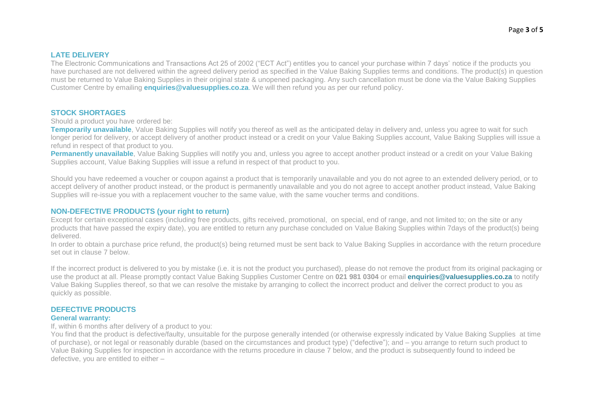# **LATE DELIVERY**

The Electronic Communications and Transactions Act 25 of 2002 ("ECT Act") entitles you to cancel your purchase within 7 days' notice if the products you have purchased are not delivered within the agreed delivery period as specified in the Value Baking Supplies terms and conditions. The product(s) in question must be returned to Value Baking Supplies in their original state & unopened packaging. Any such cancellation must be done via the Value Baking Supplies Customer Centre by emailing **enquiries@valuesupplies.co.za**. We will then refund you as per our refund policy.

#### **STOCK SHORTAGES**

Should a product you have ordered be:

**Temporarily unavailable**. Value Baking Supplies will notify you thereof as well as the anticipated delay in delivery and, unless you agree to wait for such longer period for delivery, or accept delivery of another product instead or a credit on your Value Baking Supplies account, Value Baking Supplies will issue a refund in respect of that product to you.

**Permanently unavailable**, Value Baking Supplies will notify you and, unless you agree to accept another product instead or a credit on your Value Baking Supplies account, Value Baking Supplies will issue a refund in respect of that product to you.

Should you have redeemed a voucher or coupon against a product that is temporarily unavailable and you do not agree to an extended delivery period, or to accept delivery of another product instead, or the product is permanently unavailable and you do not agree to accept another product instead, Value Baking Supplies will re-issue you with a replacement voucher to the same value, with the same voucher terms and conditions.

# **NON-DEFECTIVE PRODUCTS (your right to return)**

Except for certain exceptional cases (including free products, gifts received, promotional, on special, end of range, and not limited to; on the site or any products that have passed the expiry date), you are entitled to return any purchase concluded on Value Baking Supplies within 7days of the product(s) being delivered.

In order to obtain a purchase price refund, the product(s) being returned must be sent back to Value Baking Supplies in accordance with the return procedure set out in clause 7 below.

If the incorrect product is delivered to you by mistake (i.e. it is not the product you purchased), please do not remove the product from its original packaging or use the product at all. Please promptly contact Value Baking Supplies Customer Centre on **021 981 0304** or email **enquiries@valuesupplies.co.za** to notify Value Baking Supplies thereof, so that we can resolve the mistake by arranging to collect the incorrect product and deliver the correct product to you as quickly as possible.

# **DEFECTIVE PRODUCTS**

#### **General warranty:**

If, within 6 months after delivery of a product to you:

You find that the product is defective/faulty, unsuitable for the purpose generally intended (or otherwise expressly indicated by Value Baking Supplies at time of purchase), or not legal or reasonably durable (based on the circumstances and product type) ("defective"); and – you arrange to return such product to Value Baking Supplies for inspection in accordance with the returns procedure in clause 7 below, and the product is subsequently found to indeed be defective, you are entitled to either –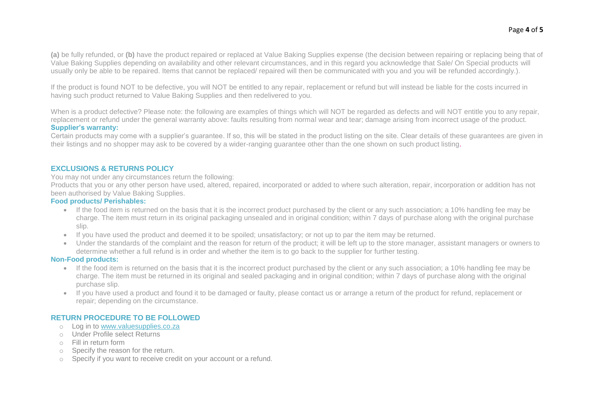**(a)** be fully refunded, or **(b)** have the product repaired or replaced at Value Baking Supplies expense (the decision between repairing or replacing being that of Value Baking Supplies depending on availability and other relevant circumstances, and in this regard you acknowledge that Sale/ On Special products will usually only be able to be repaired. Items that cannot be replaced/ repaired will then be communicated with you and you will be refunded accordingly.).

If the product is found NOT to be defective, you will NOT be entitled to any repair, replacement or refund but will instead be liable for the costs incurred in having such product returned to Value Baking Supplies and then redelivered to you.

When is a product defective? Please note: the following are examples of things which will NOT be regarded as defects and will NOT entitle you to any repair, replacement or refund under the general warranty above: faults resulting from normal wear and tear; damage arising from incorrect usage of the product. **Supplier's warranty:**

Certain products may come with a supplier's guarantee. If so, this will be stated in the product listing on the site. Clear details of these guarantees are given in their listings and no shopper may ask to be covered by a wider-ranging guarantee other than the one shown on such product listing.

#### **EXCLUSIONS & RETURNS POLICY**

You may not under any circumstances return the following:

Products that you or any other person have used, altered, repaired, incorporated or added to where such alteration, repair, incorporation or addition has not been authorised by Value Baking Supplies.

#### **Food products/ Perishables:**

- If the food item is returned on the basis that it is the incorrect product purchased by the client or any such association; a 10% handling fee may be charge. The item must return in its original packaging unsealed and in original condition; within 7 days of purchase along with the original purchase slip.
- If you have used the product and deemed it to be spoiled; unsatisfactory; or not up to par the item may be returned.
- Under the standards of the complaint and the reason for return of the product; it will be left up to the store manager, assistant managers or owners to determine whether a full refund is in order and whether the item is to go back to the supplier for further testing.

#### **Non-Food products:**

- If the food item is returned on the basis that it is the incorrect product purchased by the client or any such association; a 10% handling fee may be charge. The item must be returned in its original and sealed packaging and in original condition; within 7 days of purchase along with the original purchase slip.
- If you have used a product and found it to be damaged or faulty, please contact us or arrange a return of the product for refund, replacement or repair; depending on the circumstance.

# **RETURN PROCEDURE TO BE FOLLOWED**

- o Log in to [www.valuesupplies.co.za](http://www.valuesupplies.co.za/)
- o Under Profile select Returns
- o Fill in return form
- o Specify the reason for the return.
- o Specify if you want to receive credit on your account or a refund.